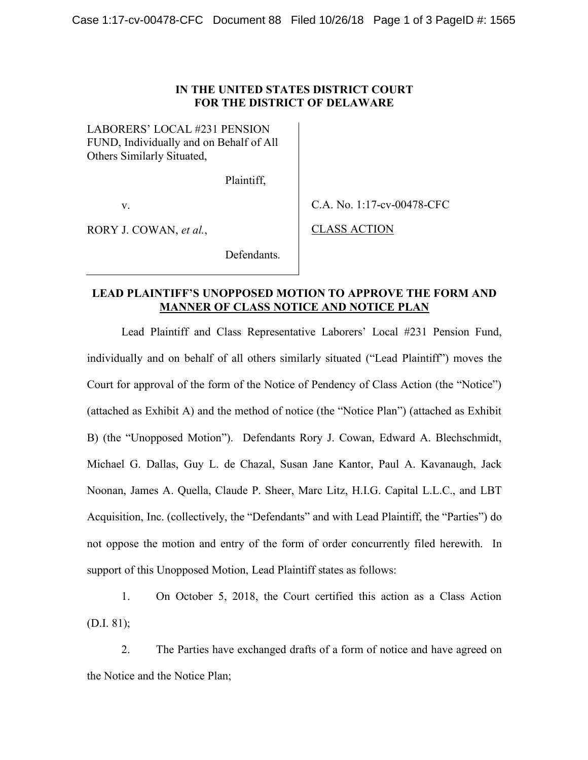LABORERS' LOCAL #231 PENSION LABORERS' LOCAL #231 PENSION FUND, Individually and on Behalf of All FUND, Individually and on Behalf of All Others Similarly Situated, Others Similarly Situated,

Plaintiff, Plaintiff,

Defendants. Defendants.

v.

RORY J. COWAN, *et al.*, CLASS ACTION

v. C.A. No. 1:17-cv-00478-CFC

CLASS ACTION

## **LEAD PLAINTIFF'S UNOPPOSED MOTION TO APPROVE THE FORM AND LEAD PLAINTIFF'S UNOPPOSED MOTION TO APPROVE THE FORM AND MANNER OF CLASS NOTICE AND NOTICE PLAN MANNER OF CLASS NOTICE AND NOTICE PLAN**

Lead Plaintiff and Class Representative Laborers' Local #231 Pension Fund, L individually and on behalf of all others similarly situated ("Lead Plaintiff") moves the Court for approval of the form of the Notice of Pendency of Class Action (the "Notice") Court for approval of the form of the Notice of Pendency of Class Action (the "Notice") (attached as Exhibit A) and the method of notice (the "Notice Plan") (attached as Exhibit (attached as Exhibit A) and the method of notice (the "Notice Plan") (attached as Exhibit B) (the "Unopposed Motion"). Defendants Rory J. Cowan, Edward A. Blechschmidt, B) (the "Unopposed Motion"). Defendants Rory J. Cowan, Edward A. Blechschmidt, Michael G. Dallas, Guy L. de Chazal, Susan Jane Kantor, Paul A. Kavanaugh, Jack Noonan, James A. Quella, Claude P. Sheer, Marc Litz, H.I.G. Capital L.L.C., and LBT Noonan, James A. Quella, Claude P. Sheer, Marc Litz, H.I.G. Capital L.L.C., and LBT Acquisition, Inc. (collectively, the "Defendants" and with Lead Plaintiff, the "Parties") do Acquisition, Inc. (collectively, the "Defendants" and with Lead Plaintiff, the "Parties") do not oppose the motion and entry of the form of order concurrently filed herewith. In not oppose the motion and entry of the form of order concurrently filed herewith. In support of this Unopposed Motion, Lead Plaintiff states as follows: support of this Unopposed Motion, Lead Plaintiff states as follows:

1. On October 5, 2018, the Court certified this action as a Class Action On October 5, 2018, the Court certified this action as a Class Action (D.I. 81); (D.I. 81);

2. The Parties have exchanged drafts of a form of notice and have agreed on The Parties have exchanged drafts of a form of notice and have agreed on the Notice and the Notice Plan;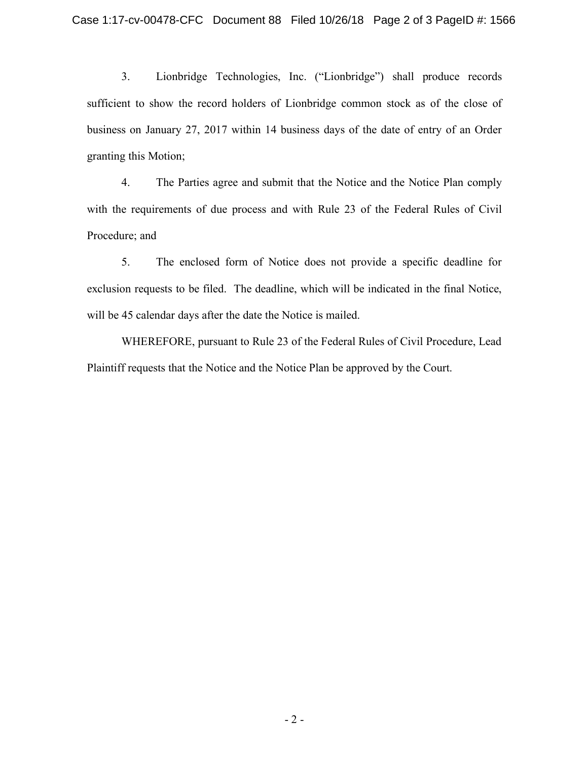3. Lionbridge Technologies, Inc. ("Lionbridge") shall produce records Lionbridge Technologies, Inc. ("Lionbridge") shall produce records sufficient to show the record holders of Lionbridge common stock as of the close of business on January 27, 2017 within 14 business days of the date of entry of an Order business on January 27, 2017 within 14 business days of the date of entry of an Order granting this Motion; granting this Motion;

4. The Parties agree and submit that the Notice and the Notice Plan comply 4. The Parties agree and submit that the Notice and the Notice Plan comply with the requirements of due process and with Rule 23 of the Federal Rules of Civil with the requirements of due process and with Rule 23 of the Federal Rules of Civil Procedure; and Procedure; and

5. The enclosed form of Notice does not provide a specific deadline for The enclosed form of Notice does not provide a specific deadline for exclusion requests to be filed. The deadline, which will be indicated in the final Notice, exclusion requests to be filed. The deadline, which will be indicated in the final Notice, will be 45 calendar days after the date the Notice is mailed. will be 45 calendar days after the date the Notice is mailed.

WHEREFORE, pursuant to Rule 23 of the Federal Rules of Civil Procedure, Lead Plaintiff requests that the Notice and the Notice Plan be approved by the Court. Plaintiff requests that the Notice and the Notice Plan be approved by the Court.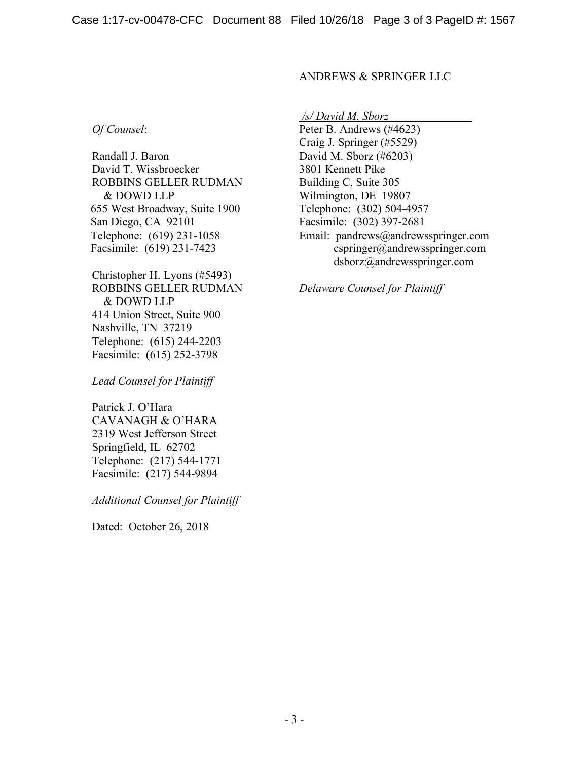#### ANDREWS & SPRINGER LLC ANDREWS & SPRINGER LLC

*Of Counsel*:

Randall J. Baron Randall J. Baron David T. Wissbroecker David T. Wissbroecker 3801 Kennett Pike ROBBINS GELLER RUDMAN ROBBINS GELLER RUDMAN & DOWD LLP & DOWD LLP 655 West Broadway, Suite 1900 655 West Broadway, Suite 1900 San Diego, CA 92101 San Diego, CA 92101 Telephone: (619) 231-1058 Telephone: (619) 231- Facsimile: (619) 231-7423 Facsimile: (619) 231-7423

Christopher H. Lyons (#5493) Christopher H. Lyons (#5493) ROBBINS GELLER RUDMAN ROBBINS GELLER RUDMAN & DOWD LLP & DOWD LLP 414 Union Street, Suite 900 414 Union Street, Suite 900 Nashville, TN 37219 Nashville, TN 37219 Telephone: (615) 244-2203 Telephone: (615) 244- Facsimile: (615) 252-3798 Facsimile: (615) 252-3798

*Lead Counsel for Plaintiff Lead Counsel for Plaintiff* 

Patrick J. O'Hara Patrick J. O'Hara CAVANAGH & O'HARA CAVANAGH & O'HARA 2319 West Jefferson Street 2319 West Jefferson Street Springfield, IL 62702 Springfield, IL 62702 Telephone: (217) 544-1771 Telephone: (217) 544-1771 Facsimile: (217) 544-9894 Facsimile: (217) 544-9894

*Additional Counsel for Plaintiff Additional Counsel for Plaintiff* 

Dated: October 26, 2018 Dated: October 26, 2018

*/s/ David M. Sborz /s/ David M. Sborz* 

Peter B. Andrews (#4623) *Of Counsel:* Peter B. Andrews (#4623) Craig J. Springer (#5529) Craig J. Springer (#5529) David M. Sborz (#6203) 3801 Kennett Pike Building C, Suite 305 Building C, Suite 305 Wilmington, DE 19807 Wilmington, DE 19807 Telephone: (302) 504-4957 Telephone: (302) 504- Facsimile: (302) 397-2681 Facsimile: (302) 397-2681 Email: pandrews@andrewsspringer.com Email: pandrews@andrewsspringer. com cspringer@andrewsspringer.com cspringer@andrewsspringer. com dsborz@andrewsspringer.com dsborz@andrewsspringer.com

*Delaware Counsel for Plaintiff Delaware Counsel for Plaintiff*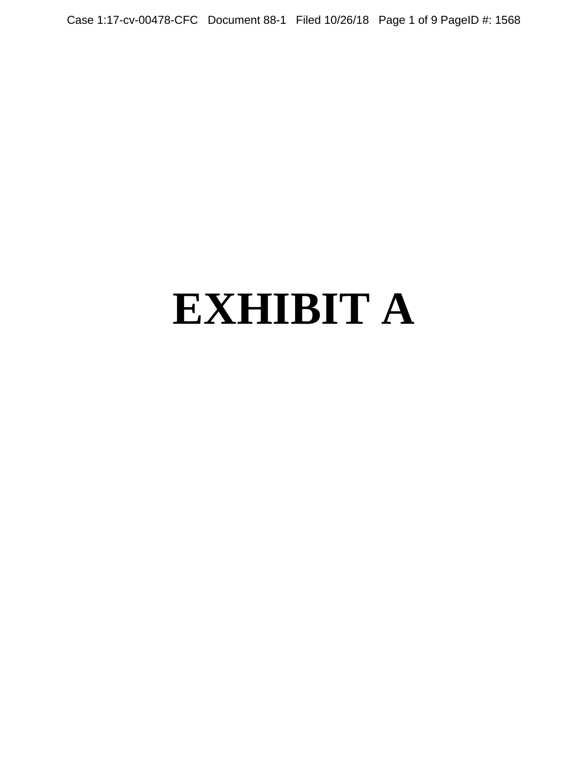Case 1:17-cv-00478-CFC Document 88-1 Filed 10/26/18 Page 1 of 9 PageID #: 1568

# **EXHIBIT A**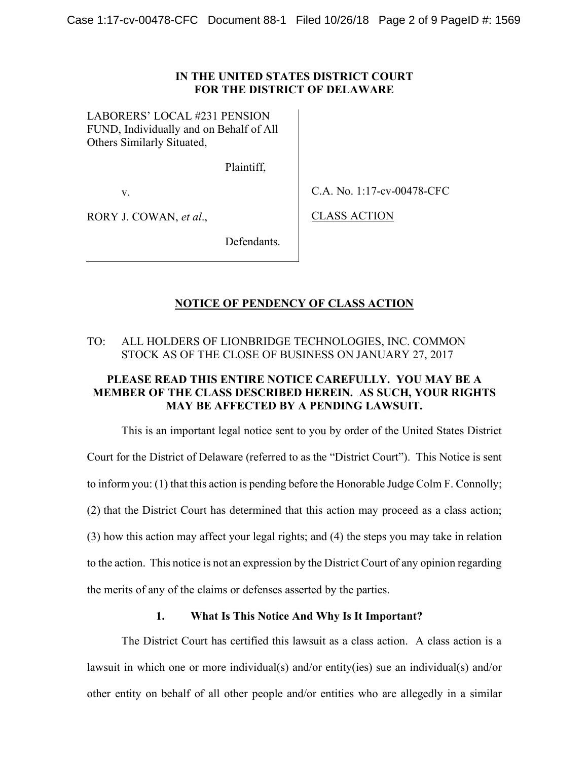LABORERS' LOCAL #231 PENSION LABORERS' LOCAL #231 PENSION FUND, Individually and on Behalf of All FUND, Individually and on Behalf of All Others Similarly Situated, Others Similarly Situated,

Plaintiff, Plaintiff,

v.

v. C.A. No. 1:17-cv-00478-CFC

RORY J. COWAN, *et al.*, CLASS ACTION

CLASS ACTION

Defendants. Defendants.

## **NOTICE OF PENDENCY OF CLASS ACTION NOTICE OF PENDENCY OF CLASS ACTION**

## TO: ALL HOLDERS OF LIONBRIDGE TECHNOLOGIES, INC. COMMON TO: ALL HOLDERS OF LIONBRIDGE TECHNOLOGIES, INC. COMMON STOCK AS OF THE CLOSE OF BUSINESS ON JANUARY 27, 2017

## **PLEASE READ THIS ENTIRE NOTICE CAREFULLY. YOU MAY BE A PLEASE READ THIS ENTIRE NOTICE CAREFULLY. YOU MAY BE A MEMBER OF THE CLASS DESCRIBED HEREIN. AS SUCH, YOUR RIGHTS MEMBER OF THE CLASS DESCRIBED HEREIN. AS SUCH, YOUR RIGHTS MAY BE AFFECTED BY A PENDING LAWSUIT. MAY BE AFFECTED BY A PENDING LAWSUIT.**

This is an important legal notice sent to you by order of the United States District This is an important legal notice sent to you by order of the United States District Court for the District of Delaware (referred to as the "District Court"). This Notice is sent Court for the District of Delaware (referred to as the "District Court"). This Notice is sent to inform you: (1) that this action is pending before the Honorable Judge Colm F. Connolly; to inform you: (1) that this action is pending before the Honorable Judge Colm F. Connolly; (2) that the District Court has determined that this action may proceed as a class action; (2) that the District Court has determined that this action may proceed as a class action; (3) how this action may affect your legal rights; and (4) the steps you may take in relation (3) how this action may affect your legal rights; and (4) the steps you may take in relation to the action. This notice is not an expression by the District Court of any opinion regarding to the action. This notice is not an expression by the District Court of any opinion regarding the merits of any of the claims or defenses asserted by the parties. the merits of any of the claims or defenses asserted by the parties.

### **1. What Is This Notice And Why Is It Important? What Is This Notice And Why Is It Important?**

The District Court has certified this lawsuit as a class action. A class action is a The District Court has certified this lawsuit as a class action. A class action is a lawsuit in which one or more individual(s) and/or entity(ies) sue an individual(s) and/or lawsuit in which one or more individual(s) and/or entity(ies) sue an individual(s) and/or other entity on behalf of all other people and/or entities who are allegedly in a similar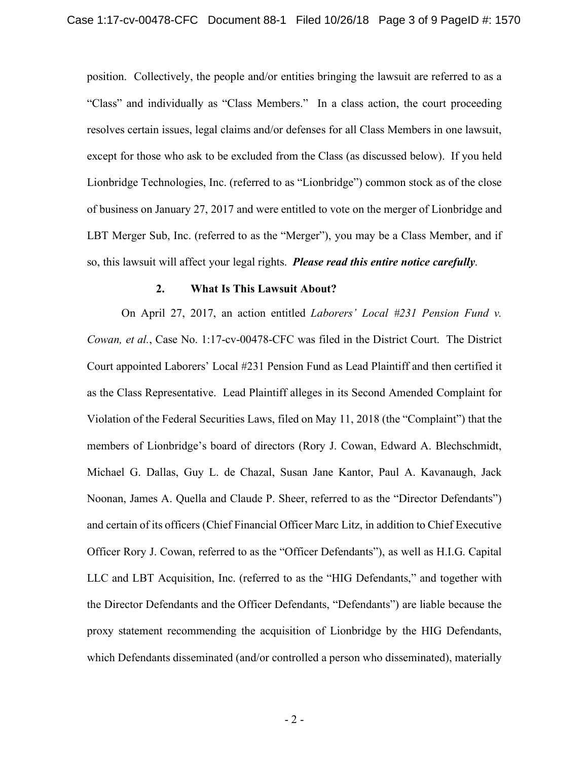position. Collectively, the people and/or entities bringing the lawsuit are referred to as a position. Collectively, the people and/or entities bringing the lawsuit are referred to as a "Class" and individually as "Class Members." In a class action, the court proceeding "Class" and individually as "Class Members." In a class action, the court proceeding resolves certain issues, legal claims and/or defenses for all Class Members in one lawsuit, resolves certain issues, legal claims and/or defenses for all Class Members in one lawsuit, except for those who ask to be excluded from the Class (as discussed below). If you held except for those who ask to be excluded from the Class (as discussed below). If you held Lionbridge Technologies, Inc. (referred to as "Lionbridge") common stock as of the close Lionbridge Technologies, Inc. (referred to as "Lionbridge") common stock as of the close of business on January 27, 2017 and were entitled to vote on the merger of Lionbridge and LBT Merger Sub, Inc. (referred to as the "Merger"), you may be a Class Member, and if so, this lawsuit will affect your legal rights. *Please read this entire notice carefully*. so, this lawsuit will affect your legal rights. *Please read this entire notice carefully.* 

#### **2. What Is This Lawsuit About? What Is This Lawsuit About?**

On April 27, 2017, an action entitled *Laborers' Local #231 Pension Fund v.*  On April 27, 2017, an action entitled *Laborers' Local #231 Pension Fund v. Cowan, et al.*, Case No. 1:17-cv-00478-CFC was filed in the District Court. The District *Cowan, et al.,* Case No. 1:17-cv-00478-CFC was filed in the District Court. The District Court appointed Laborers' Local #231 Pension Fund as Lead Plaintiff and then certified it Court appointed Laborers' Local #231 Pension Fund as Lead Plaintiff and then certified it as the Class Representative. Lead Plaintiff alleges in its Second Amended Complaint for as the Class Representative. Lead Plaintiff alleges in its Second Amended Complaint for Violation of the Federal Securities Laws, filed on May 11, 2018 (the "Complaint") that the Violation of the Federal Securities Laws, filed on May 11, 2018 (the "Complaint") that the members of Lionbridge's board of directors (Rory J. Cowan, Edward A. Blechschmidt, members of Lionbridge's board of directors (Rory J. Cowan, Edward A. Blechschmidt, Michael G. Dallas, Guy L. de Chazal, Susan Jane Kantor, Paul A. Kavanaugh, Jack Michael G. Dallas, Guy L. de Chazal, Susan Jane Kantor, Paul A. Kavanaugh, Jack Noonan, James A. Quella and Claude P. Sheer, referred to as the "Director Defendants") Noonan, James A. Quella and Claude P. Sheer, referred to as the "Director Defendants") and certain of its officers (Chief Financial Officer Marc Litz, in addition to Chief Executive and certain of its officers (Chief Financial Officer Marc Litz, in addition to Chief Executive Officer Rory J. Cowan, referred to as the "Officer Defendants"), as well as H.I.G. Capital Officer Rory J. Cowan, referred to as the "Officer Defendants"), as well as H.I.G. Capital LLC and LBT Acquisition, Inc. (referred to as the "HIG Defendants," and together with LLC and LBT Acquisition, Inc. (referred to as the "HIG Defendants," and together with the Director Defendants and the Officer Defendants, "Defendants") are liable because the the Director Defendants and the Officer Defendants, "Defendants") are liable because the proxy statement recommending the acquisition of Lionbridge by the HIG Defendants, proxy statement recommending the acquisition of Lionbridge by the HIG Defendants, which Defendants disseminated (and/or controlled a person who disseminated), materially which Defendants disseminated (and/or controlled a person who disseminated), materially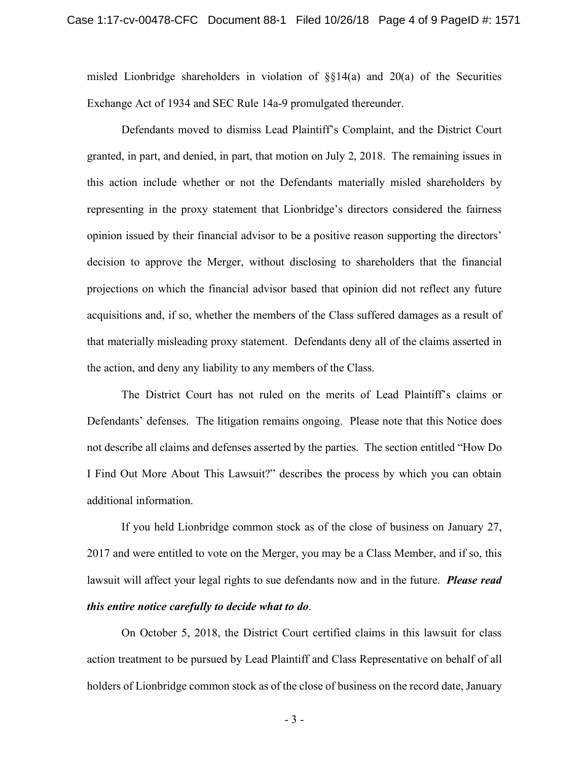misled Lionbridge shareholders in violation of  $\S$ [14(a) and 20(a) of the Securities Exchange Act of 1934 and SEC Rule 14a-9 promulgated thereunder. Exchange Act of 1934 and SEC Rule 14a-9 promulgated thereunder.

Defendants moved to dismiss Lead Plaintiff's Complaint, and the District Court Defendants moved to dismiss Lead Plaintiff's Complaint, and the District Court granted, in part, and denied, in part, that motion on July 2, 2018. The remaining issues in granted, in part, and denied, in part, that motion on July 2, 2018. The remaining issues in this action include whether or not the Defendants materially misled shareholders by this action include whether or not the Defendants materially misled shareholders by representing in the proxy statement that Lionbridge's directors considered the fairness representing in the proxy statement that Lionbridge's directors considered the fairness opinion issued by their financial advisor to be a positive reason supporting the directors' opinion issued by their financial advisor to be a positive reason supporting the directors' decision to approve the Merger, without disclosing to shareholders that the financial decision to approve the Merger, without disclosing to shareholders that the financial projections on which the financial advisor based that opinion did not reflect any future projections on which the financial advisor based that opinion did not reflect any future acquisitions and, if so, whether the members of the Class suffered damages as a result of acquisitions and, if so, whether the members of the Class suffered damages as a result of that materially misleading proxy statement. Defendants deny all of the claims asserted in that materially misleading proxy statement. Defendants deny all of the claims asserted in the action, and deny any liability to any members of the Class.

The District Court has not ruled on the merits of Lead Plaintiff's claims or The District Court has not ruled on the merits of Lead Plaintiff's claims or Defendants' defenses. The litigation remains ongoing. Please note that this Notice does Defendants' defenses. The litigation remains ongoing. Please note that this Notice does not describe all claims and defenses asserted by the parties. The section entitled "How Do not describe all claims and defenses asserted by the parties. The section entitled "How Do I Find Out More About This Lawsuit?" describes the process by which you can obtain I Find Out More About This Lawsuit?" describes the process by which you can obtain additional information. additional information.

If you held Lionbridge common stock as of the close of business on January 27, If you held Lionbridge common stock as of the close of business on January 27, 2017 and were entitled to vote on the Merger, you may be a Class Member, and if so, this 2017 and were entitled to vote on the Merger, you may be a Class Member, and if so, this lawsuit will affect your legal rights to sue defendants now and in the future. *Please read*  lawsuit will affect your legal rights to sue defendants now and in the future. *Please read this entire notice carefully to decide what to do*. *this entire notice carefully to decide what to do.* 

On October 5, 2018, the District Court certified claims in this lawsuit for class On October 5, 2018, the District Court certified claims in this lawsuit for class action treatment to be pursued by Lead Plaintiff and Class Representative on behalf of all action treatment to be pursued by Lead Plaintiff and Class Representative on behalf of all holders of Lionbridge common stock as of the close of business on the record date, January holders of Lionbridge common stock as of the close of business on the record date, January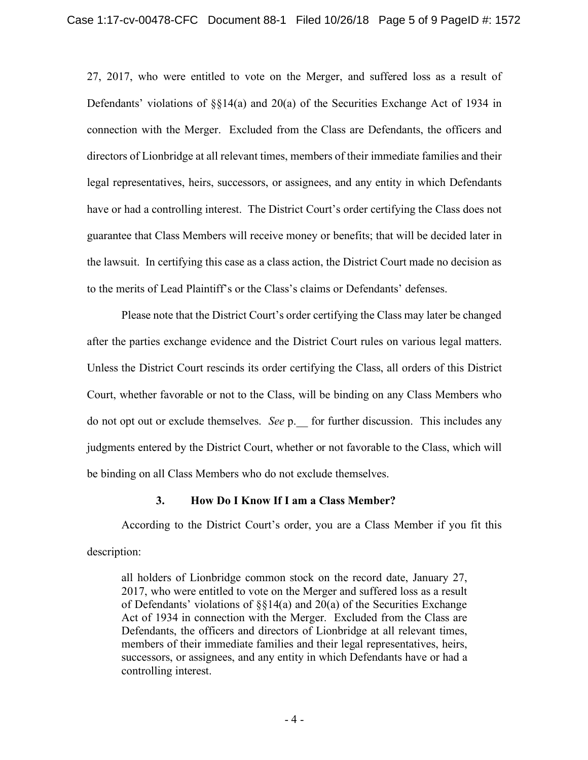27, 2017, who were entitled to vote on the Merger, and suffered loss as a result of 27, 2017, who were entitled to vote on the Merger, and suffered loss as a result of Defendants' violations of §§14(a) and 20(a) of the Securities Exchange Act of 1934 in Defendants' violations of §§14(a) and 20(a) of the Securities Exchange Act of 1934 in connection with the Merger. Excluded from the Class are Defendants, the officers and connection with the Merger. Excluded from the Class are Defendants, the officers and directors of Lionbridge at all relevant times, members of their immediate families and their directors of Lionbridge at all relevant times, members of their immediate families and their legal representatives, heirs, successors, or assignees, and any entity in which Defendants legal representatives, heirs, successors, or assignees, and any entity in which Defendants have or had a controlling interest. The District Court's order certifying the Class does not have or had a controlling interest. The District Court's order certifying the Class does not guarantee that Class Members will receive money or benefits; that will be decided later in guarantee that Class Members will receive money or benefits; that will be decided later in the lawsuit. In certifying this case as a class action, the District Court made no decision as the lawsuit. In certifying this case as a class action, the District Court made no decision as to the merits of Lead Plaintiff's or the Class's claims or Defendants' defenses.

Please note that the District Court's order certifying the Class may later be changed Please note that the District Court's order certifying the Class may later be changed after the parties exchange evidence and the District Court rules on various legal matters. after the parties exchange evidence and the District Court rules on various legal matters. Unless the District Court rescinds its order certifying the Class, all orders of this District Unless the District Court rescinds its order certifying the Class, all orders of this District Court, whether favorable or not to the Class, will be binding on any Class Members who Court, whether favorable or not to the Class, will be binding on any Class Members who do not opt out or exclude themselves. *See* p. for further discussion. This includes any judgments entered by the District Court, whether or not favorable to the Class, which will judgments entered by the District Court, whether or not favorable to the Class, which will be binding on all Class Members who do not exclude themselves. be binding on all Class Members who do not exclude themselves.

## **3. How Do I Know If I am a Class Member? 3. How Do I Know If I am a Class Member?**

According to the District Court's order, you are a Class Member if you fit this According to the District Court's order, you are a Class Member if you fit this description: description:

all holders of Lionbridge common stock on the record date, January 27, all holders of Lionbridge common stock on the record date, January 27, 2017, who were entitled to vote on the Merger and suffered loss as a result 2017, who were entitled to vote on the Merger and suffered loss as a result of Defendants' violations of  $\S\S14(a)$  and 20(a) of the Securities Exchange Act of 1934 in connection with the Merger. Excluded from the Class are Act of 1934 in connection with the Merger. Excluded from the Class are Defendants, the officers and directors of Lionbridge at all relevant times, Defendants, the officers and directors of Lionbridge at all relevant times, members of their immediate families and their legal representatives, heirs, members of their immediate families and their legal representatives, heirs, successors, or assignees, and any entity in which Defendants have or had a successors, or assignees, and any entity in which Defendants have or had a controlling interest. controlling interest.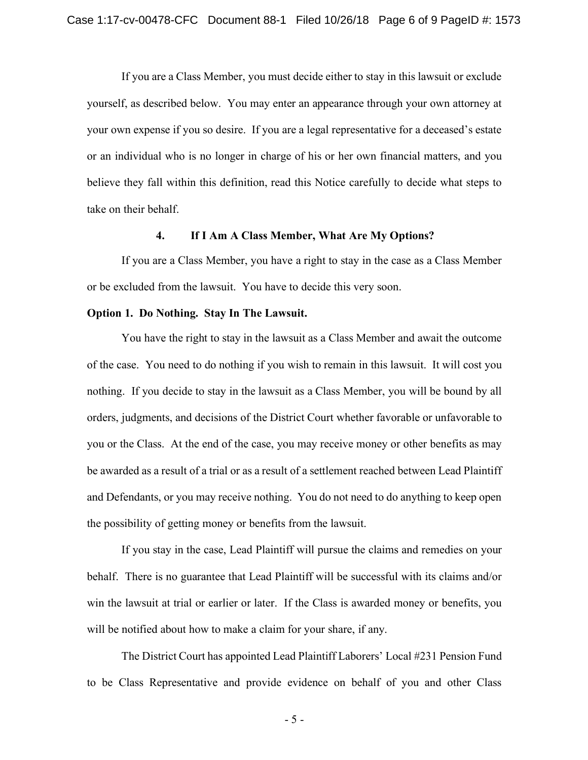If you are a Class Member, you must decide either to stay in this lawsuit or exclude If you are a Class Member, you must decide either to stay in this lawsuit or exclude yourself, as described below. You may enter an appearance through your own attorney at yourself, as described below. You may enter an appearance through your own attorney at your own expense if you so desire. If you are a legal representative for a deceased's estate your own expense if you so desire. If you are a legal representative for a deceased's estate or an individual who is no longer in charge of his or her own financial matters, and you believe they fall within this definition, read this Notice carefully to decide what steps to believe they fall within this definition, read this Notice carefully to decide what steps to take on their behalf. take on their behalf.

#### **4. If I Am A Class Member, What Are My Options? 4 If I Am A Class Member, What Are My Options?**

If you are a Class Member, you have a right to stay in the case as a Class Member If you are a Class Member, you have a right to stay in the case as a Class Member or be excluded from the lawsuit. You have to decide this very soon. or be excluded from the lawsuit. You have to decide this very soon.

#### **Option 1. Do Nothing. Stay In The Lawsuit. Option 1. Do Nothing. Stay In The Lawsuit.**

You have the right to stay in the lawsuit as a Class Member and await the outcome You have the right to stay in the lawsuit as a Class Member and await the outcome of the case. You need to do nothing if you wish to remain in this lawsuit. It will cost you of the case. You need to do nothing if you wish to remain in this lawsuit. It will cost you nothing. If you decide to stay in the lawsuit as a Class Member, you will be bound by all nothing. If you decide to stay in the lawsuit as a Class Member, you will be bound by all orders, judgments, and decisions of the District Court whether favorable or unfavorable to you or the Class. At the end of the case, you may receive money or other benefits as may you or the Class. At the end of the case, you may receive money or other benefits as may be awarded as a result of a trial or as a result of a settlement reached between Lead Plaintiff be awarded as a result of a trial or as a result of a settlement reached between Lead Plaintiff and Defendants, or you may receive nothing. You do not need to do anything to keep open and Defendants, or you may receive nothing. You do not need to do anything to keep open the possibility of getting money or benefits from the lawsuit. the possibility of getting money or benefits from the lawsuit.

If you stay in the case, Lead Plaintiff will pursue the claims and remedies on your If you stay in the case, Lead Plaintiff will pursue the claims and remedies on your behalf. There is no guarantee that Lead Plaintiff will be successful with its claims and/or behalf. There is no guarantee that Lead Plaintiff will be successful with its claims and/or win the lawsuit at trial or earlier or later. If the Class is awarded money or benefits, you win the lawsuit at trial or earlier or later. If the Class is awarded money or benefits, you will be notified about how to make a claim for your share, if any. will be notified about how to make a claim for your share, if any.

The District Court has appointed Lead Plaintiff Laborers' Local #231 Pension Fund The District Court has appointed Lead Plaintiff Laborers' Local #231 Pension Fund to be Class Representative and provide evidence on behalf of you and other Class to be Class Representative and provide evidence on behalf of you and other Class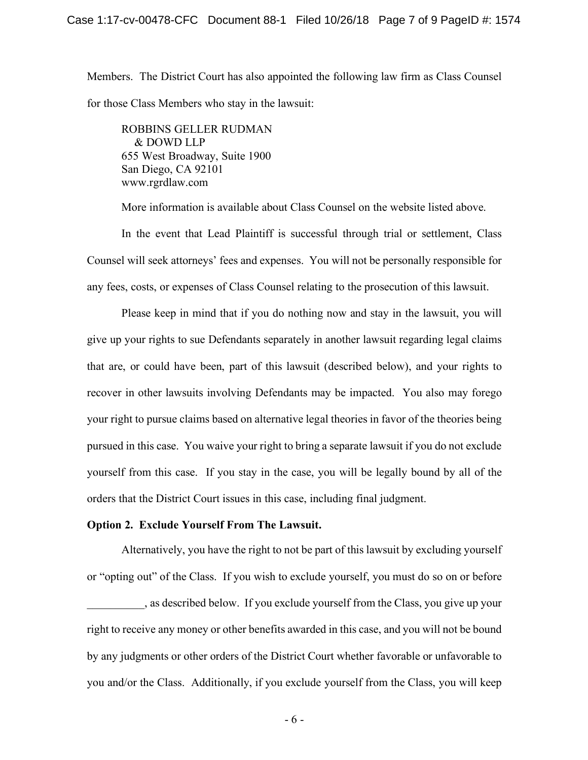Members. The District Court has also appointed the following law firm as Class Counsel Members. The District Court has also appointed the following law firm as Class Counsel for those Class Members who stay in the lawsuit: for those Class Members who stay in the lawsuit:

ROBBINS GELLER RUDMAN ROBBINS GELLER RUDMAN & DOWD LLP & DOWD LLP 655 West Broadway, Suite 1900 655 West Broadway, Suite 1900 San Diego, CA 92101 San Diego, CA 92101 www.rgrdlaw.com www.rgrdlaw.com

More information is available about Class Counsel on the website listed above. More information is available about Class Counsel on the website listed above.

In the event that Lead Plaintiff is successful through trial or settlement, Class In the event that Lead Plaintiff is successful through trial or settlement, Class Counsel will seek attorneys' fees and expenses. You will not be personally responsible for Counsel will seek attorneys' fees and expenses. You will not be personally responsible for any fees, costs, or expenses of Class Counsel relating to the prosecution of this lawsuit. any fees, costs, or expenses of Class Counsel relating to the prosecution of this lawsuit.

Please keep in mind that if you do nothing now and stay in the lawsuit, you will Please keep in mind that if you do nothing now and stay in the lawsuit, you will give up your rights to sue Defendants separately in another lawsuit regarding legal claims give up your rights to sue Defendants separately in another lawsuit regarding legal claims that are, or could have been, part of this lawsuit (described below), and your rights to recover in other lawsuits involving Defendants may be impacted. You also may forego your right to pursue claims based on alternative legal theories in favor of the theories being your right to pursue claims based on alternative legal theories in favor of the theories being pursued in this case. You waive your right to bring a separate lawsuit if you do not exclude pursued in this case. You waive your right to bring a separate lawsuit if you do not exclude yourself from this case. If you stay in the case, you will be legally bound by all of the yourself from this case. If you stay in the case, you will be legally bound by all of the orders that the District Court issues in this case, including final judgment. orders that the District Court issues in this case, including final judgment.

#### **Option 2. Exclude Yourself From The Lawsuit. Option 2. Exclude Yourself From The Lawsuit.**

Alternatively, you have the right to not be part of this lawsuit by excluding yourself Alternatively, you have the right to not be part of this lawsuit by excluding yourself or "opting out" of the Class. If you wish to exclude yourself, you must do so on or before

, as described below. If you exclude yourself from the Class, you give up your right to receive any money or other benefits awarded in this case, and you will not be bound by any judgments or other orders of the District Court whether favorable or unfavorable to by any judgments or other orders of the District Court whether favorable or unfavorable to you and/or the Class. Additionally, if you exclude yourself from the Class, you will keep you and/or the Class. Additionally, if you exclude yourself from the Class, you will keep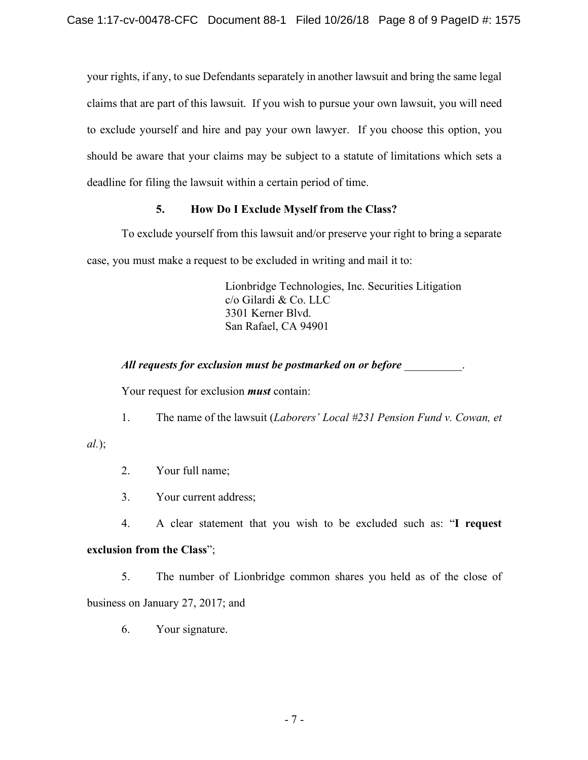your rights, if any, to sue Defendants separately in another lawsuit and bring the same legal your rights, if any, to sue Defendants separately in another lawsuit and bring the same legal claims that are part of this lawsuit. If you wish to pursue your own lawsuit, you will need claims that are part of this lawsuit. If you wish to pursue your own lawsuit, you will need to exclude yourself and hire and pay your own lawyer. If you choose this option, you to exclude yourself and hire and pay your own lawyer. If you choose this option, you should be aware that your claims may be subject to a statute of limitations which sets a should be aware that your claims may be subject to a statute of limitations which sets a deadline for filing the lawsuit within a certain period of time. deadline for filing the lawsuit within a certain period of time.

## **5. How Do I Exclude Myself from the Class? How Do I Exclude Myself from the Class?**

To exclude yourself from this lawsuit and/or preserve your right to bring a separate To exclude yourself from this lawsuit and/or preserve your right to bring a separate case, you must make a request to be excluded in writing and mail it to: case, you must make a request to be excluded in writing and mail it to:

> Lionbridge Technologies, Inc. Securities Litigation Lionbridge Technologies, Inc. Securities Litigation c/o Gilardi & Co. LLC c/o Gilardi & Co. LLC 3301 Kerner Blvd. 3301 Kerner Blvd. San Rafael, CA 94901 San Rafael, CA 94901

*All requests for exclusion must be postmarked on or before* \_\_\_\_\_\_\_\_\_\_. *All requests for exclusion must be postmarked on or before* 

Your request for exclusion *must* contain: Your request for exclusion **must** 

1. The name of the lawsuit (*Laborers' Local #231 Pension Fund v. Cowan, et*  The name of the lawsuit *(Laborers' Local #231 Pension Fund v. Cowan, et* 

## *al.*); *al.);*

- 2. Your full name; Your full name;
- 3. Your current address; Your current address;

4. A clear statement that you wish to be excluded such as: "**I request**  4. *A* clear statement that you wish to be excluded such as: **"I request exclusion from the Class**"; **exclusion from the Class";** 

5. The number of Lionbridge common shares you held as of the close of The number of Lionbridge common shares you held as of the close of business on January 27, 2017; and business on January 27, 2017; and

6. Your signature. 6. Your signature.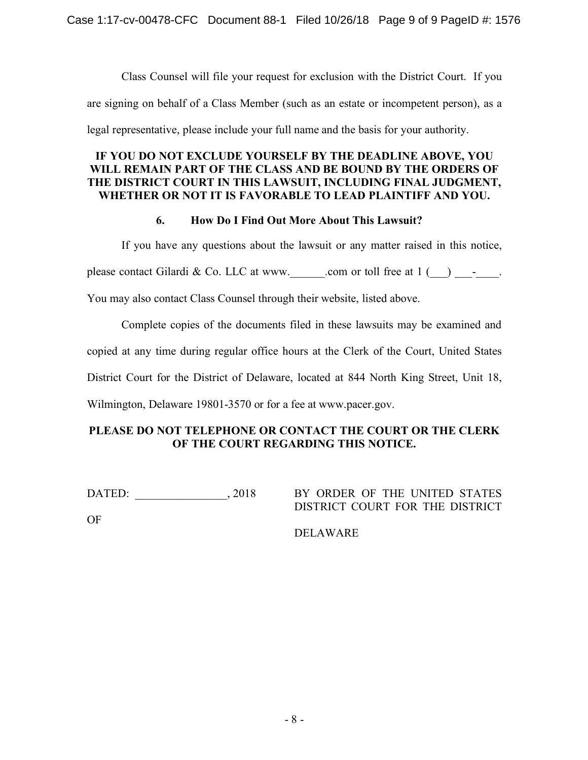Class Counsel will file your request for exclusion with the District Court. If you Class Counsel will file your request for exclusion with the District Court. If you

are signing on behalf of a Class Member (such as an estate or incompetent person), as a are signing on behalf of a Class Member (such as an estate or incompetent person), as a

legal representative, please include your full name and the basis for your authority.

## **IF YOU DO NOT EXCLUDE YOURSELF BY THE DEADLINE ABOVE, YOU IF YOU DO NOT EXCLUDE YOURSELF BY THE DEADLINE ABOVE, YOU WILL REMAIN PART OF THE CLASS AND BE BOUND BY THE ORDERS OF WILL REMAIN PART OF THE CLASS AND BE BOUND BY THE ORDERS OF THE DISTRICT COURT IN THIS LAWSUIT, INCLUDING FINAL JUDGMENT, THE DISTRICT COURT IN THIS LAWSUIT, INCLUDING FINAL JUDGMENT,**  WHETHER OR NOT IT IS FAVORABLE TO LEAD PLAINTIFF AND YOU.

## **6. How Do I Find Out More About This Lawsuit? 6. How Do I Find Out More About This Lawsuit?**

If you have any questions about the lawsuit or any matter raised in this notice, If you have any questions about the lawsuit or any matter raised in this notice,

please contact Gilardi & Co. LLC at www. .com or toll free at  $1$  ( $\)$  -  $\,$ .

You may also contact Class Counsel through their website, listed above. You may also contact Class Counsel through their website, listed above.

Complete copies of the documents filed in these lawsuits may be examined and Complete copies of the documents filed in these lawsuits may be examined and

copied at any time during regular office hours at the Clerk of the Court, United States copied at any time during regular office hours at the Clerk of the Court, United States

District Court for the District of Delaware, located at 844 North King Street, Unit 18, District Court for the District of Delaware, located at 844 North King Street, Unit 18,

Wilmington, Delaware 19801-3570 or for a fee at www.pacer.gov. Wilmington, Delaware 19801-

## PLEASE DO NOT TELEPHONE OR CONTACT THE COURT OR THE CLERK **OF THE COURT REGARDING THIS NOTICE. OF THE COURT REGARDING THIS NOTICE.**

DATED: 2018

DATED: 2018 BY ORDER OF THE UNITED STATES DISTRICT COURT FOR THE DISTRICT DISTRICT COURT FOR THE DISTRICT

OF OF

DELAWARE DELAWARE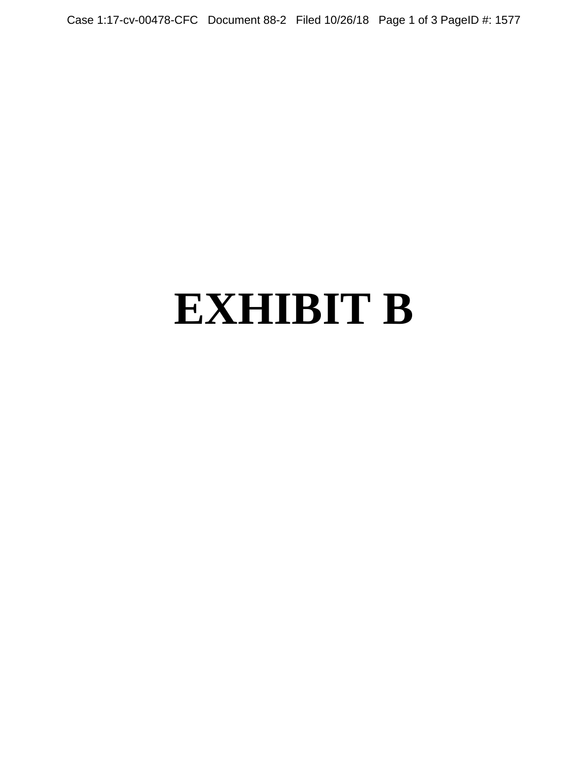Case 1:17-cv-00478-CFC Document 88-2 Filed 10/26/18 Page 1 of 3 PageID #: 1577

# **EXHIBIT B**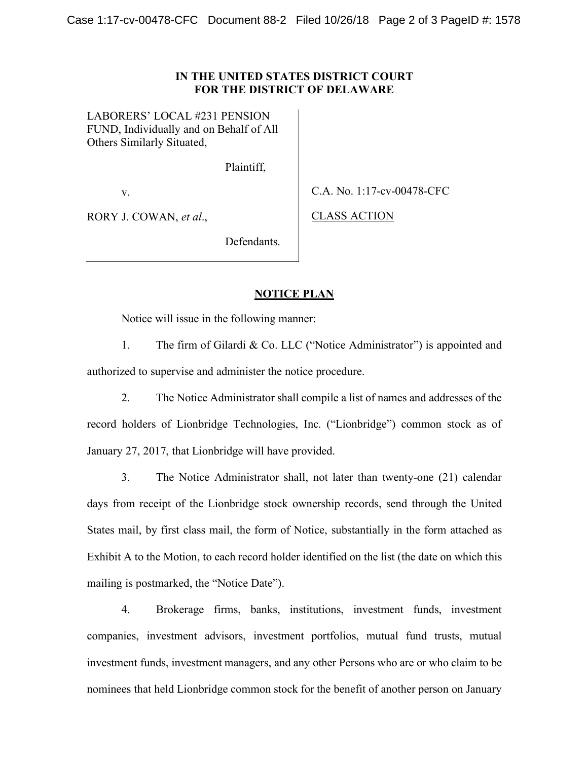LABORERS' LOCAL #231 PENSION LABORERS' LOCAL #231 PENSION FUND, Individually and on Behalf of All FUND, Individually and on Behalf of All Others Similarly Situated, Others Similarly Situated,

Plaintiff, Plaintiff,

v.

v. C.A. No. 1:17-cv-00478-CFC

RORY J. COWAN, *et al.*, CLASS ACTION

CLASS ACTION

Defendants. Defendants.

## **NOTICE PLAN NOTICE PLAN**

Notice will issue in the following manner: Notice will issue in the following manner:

1. The firm of Gilardi & Co. LLC ("Notice Administrator") is appointed and The firm of Gilardi & Co. LLC ("Notice Administrator") is appointed and authorized to supervise and administer the notice procedure. authorized to supervise and administer the notice procedure.

2. The Notice Administrator shall compile a list of names and addresses of the The Notice Administrator shall compile a list of names and addresses of the record holders of Lionbridge Technologies, Inc. ("Lionbridge") common stock as of record holders of Lionbridge Technologies, Inc. ("Lionbridge") common stock as of January 27, 2017, that Lionbridge will have provided.

3. The Notice Administrator shall, not later than twenty-one (21) calendar The Notice Administrator shall, not later than twenty-one (21) calendar days from receipt of the Lionbridge stock ownership records, send through the United days from receipt of the Lionbridge stock ownership records, send through the United States mail, by first class mail, the form of Notice, substantially in the form attached as States mail, by first class mail, the form of Notice, substantially in the form attached as Exhibit A to the Motion, to each record holder identified on the list (the date on which this mailing is postmarked, the "Notice Date"). mailing is postmarked, the "Notice Date").

4. Brokerage firms, banks, institutions, investment funds, investment 4. Brokerage firms, banks, institutions, investment funds, investment companies, investment advisors, investment portfolios, mutual fund trusts, mutual companies, investment advisors, investment portfolios, mutual fund trusts, mutual investment funds, investment managers, and any other Persons who are or who claim to be investment funds, investment managers, and any other Persons who are or who claim to be nominees that held Lionbridge common stock for the benefit of another person on January nominees that held Lionbridge common stock for the benefit of another person on January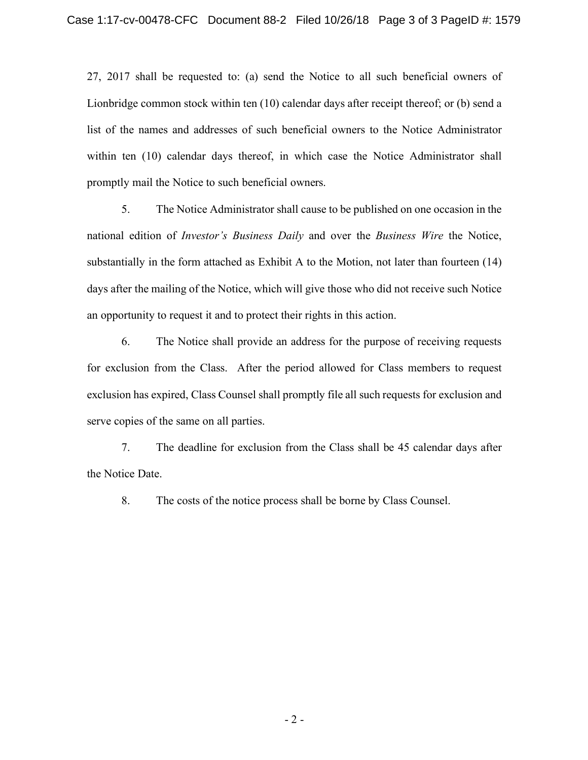27, 2017 shall be requested to: (a) send the Notice to all such beneficial owners of 27, 2017 shall be requested to: (a) send the Notice to all such beneficial owners of Lionbridge common stock within ten (10) calendar days after receipt thereof; or (b) send a Lionbridge common stock within ten (10) calendar days after receipt thereof; or (b) send a list of the names and addresses of such beneficial owners to the Notice Administrator list of the names and addresses of such beneficial owners to the Notice Administrator within ten (10) calendar days thereof, in which case the Notice Administrator shall within ten (10) calendar days thereof, in which case the Notice Administrator shall promptly mail the Notice to such beneficial owners. promptly mail the Notice to such beneficial owners.

5. The Notice Administrator shall cause to be published on one occasion in the The Notice Administrator shall cause to be published on one occasion in the national edition of *Investor's Business Daily* and over the *Business Wire* the Notice, national edition of *Investor's Business Daily* and over the *Business Wire* the Notice, substantially in the form attached as Exhibit A to the Motion, not later than fourteen (14) substantially in the form attached as Exhibit A to the Motion, not later than fourteen (14) days after the mailing of the Notice, which will give those who did not receive such Notice days after the mailing of the Notice, which will give those who did not receive such Notice an opportunity to request it and to protect their rights in this action. an opportunity to request it and to protect their rights in this action.

6. The Notice shall provide an address for the purpose of receiving requests 6. The Notice shall provide an address for the purpose of receiving requests for exclusion from the Class. After the period allowed for Class members to request for exclusion from the Class. After the period allowed for Class members to request exclusion has expired, Class Counsel shall promptly file all such requests for exclusion and exclusion has expired, Class Counsel shall promptly file all such requests for exclusion and serve copies of the same on all parties. serve copies of the same on all parties.

7. The deadline for exclusion from the Class shall be 45 calendar days after The deadline for exclusion from the Class shall be 45 calendar days after the Notice Date. the Notice Date.

8. The costs of the notice process shall be borne by Class Counsel.